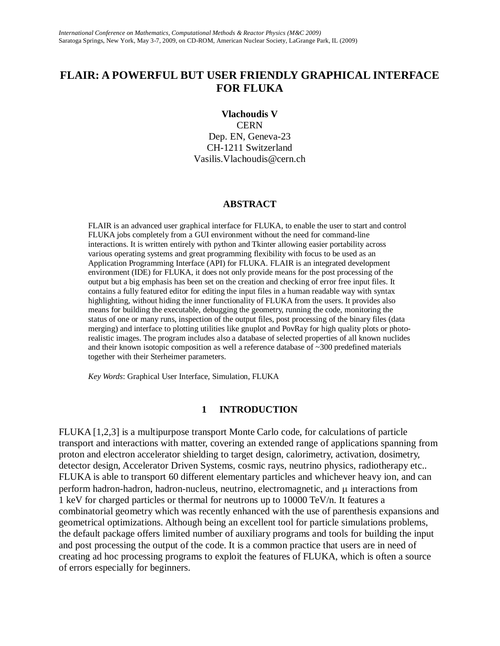# **FLAIR: A POWERFUL BUT USER FRIENDLY GRAPHICAL INTERFACE FOR FLUKA**

#### **Vlachoudis V**

**CERN** Dep. EN, Geneva-23 CH-1211 Switzerland Vasilis.Vlachoudis@cern.ch

#### **ABSTRACT**

FLAIR is an advanced user graphical interface for FLUKA, to enable the user to start and control FLUKA jobs completely from a GUI environment without the need for command-line interactions. It is written entirely with python and Tkinter allowing easier portability across various operating systems and great programming flexibility with focus to be used as an Application Programming Interface (API) for FLUKA. FLAIR is an integrated development environment (IDE) for FLUKA, it does not only provide means for the post processing of the output but a big emphasis has been set on the creation and checking of error free input files. It contains a fully featured editor for editing the input files in a human readable way with syntax highlighting, without hiding the inner functionality of FLUKA from the users. It provides also means for building the executable, debugging the geometry, running the code, monitoring the status of one or many runs, inspection of the output files, post processing of the binary files (data merging) and interface to plotting utilities like gnuplot and PovRay for high quality plots or photorealistic images. The program includes also a database of selected properties of all known nuclides and their known isotopic composition as well a reference database of ~300 predefined materials together with their Sterheimer parameters.

*Key Words*: Graphical User Interface, Simulation, FLUKA

#### **1 INTRODUCTION**

FLUKA [1,2,3] is a multipurpose transport Monte Carlo code, for calculations of particle transport and interactions with matter, covering an extended range of applications spanning from proton and electron accelerator shielding to target design, calorimetry, activation, dosimetry, detector design, Accelerator Driven Systems, cosmic rays, neutrino physics, radiotherapy etc.. FLUKA is able to transport 60 different elementary particles and whichever heavy ion, and can perform hadron-hadron, hadron-nucleus, neutrino, electromagnetic, and  $\mu$  interactions from 1 keV for charged particles or thermal for neutrons up to 10000 TeV/n. It features a combinatorial geometry which was recently enhanced with the use of parenthesis expansions and geometrical optimizations. Although being an excellent tool for particle simulations problems, the default package offers limited number of auxiliary programs and tools for building the input and post processing the output of the code. It is a common practice that users are in need of creating ad hoc processing programs to exploit the features of FLUKA, which is often a source of errors especially for beginners.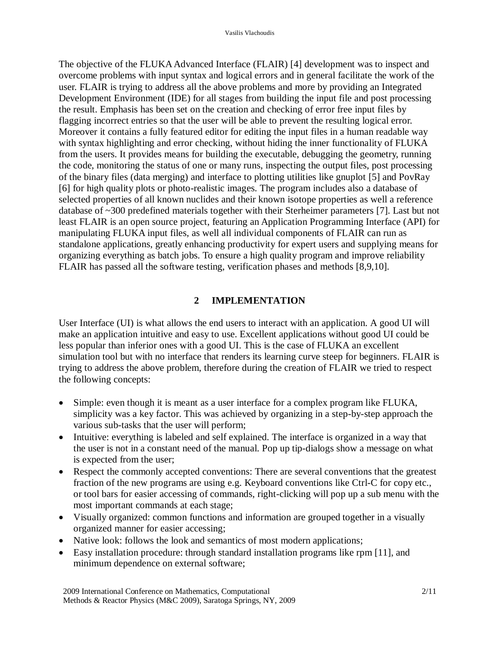The objective of the FLUKA Advanced Interface (FLAIR) [4] development was to inspect and overcome problems with input syntax and logical errors and in general facilitate the work of the user. FLAIR is trying to address all the above problems and more by providing an Integrated Development Environment (IDE) for all stages from building the input file and post processing the result. Emphasis has been set on the creation and checking of error free input files by flagging incorrect entries so that the user will be able to prevent the resulting logical error. Moreover it contains a fully featured editor for editing the input files in a human readable way with syntax highlighting and error checking, without hiding the inner functionality of FLUKA from the users. It provides means for building the executable, debugging the geometry, running the code, monitoring the status of one or many runs, inspecting the output files, post processing of the binary files (data merging) and interface to plotting utilities like gnuplot [5] and PovRay [6] for high quality plots or photo-realistic images. The program includes also a database of selected properties of all known nuclides and their known isotope properties as well a reference database of ~300 predefined materials together with their Sterheimer parameters [7]. Last but not least FLAIR is an open source project, featuring an Application Programming Interface (API) for manipulating FLUKA input files, as well all individual components of FLAIR can run as standalone applications, greatly enhancing productivity for expert users and supplying means for organizing everything as batch jobs. To ensure a high quality program and improve reliability FLAIR has passed all the software testing, verification phases and methods [8,9,10].

#### **2 IMPLEMENTATION**

User Interface (UI) is what allows the end users to interact with an application. A good UI will make an application intuitive and easy to use. Excellent applications without good UI could be less popular than inferior ones with a good UI. This is the case of FLUKA an excellent simulation tool but with no interface that renders its learning curve steep for beginners. FLAIR is trying to address the above problem, therefore during the creation of FLAIR we tried to respect the following concepts:

- Simple: even though it is meant as a user interface for a complex program like FLUKA, simplicity was a key factor. This was achieved by organizing in a step-by-step approach the various sub-tasks that the user will perform;
- Intuitive: everything is labeled and self explained. The interface is organized in a way that the user is not in a constant need of the manual. Pop up tip-dialogs show a message on what is expected from the user;
- Respect the commonly accepted conventions: There are several conventions that the greatest fraction of the new programs are using e.g. Keyboard conventions like Ctrl-C for copy etc., or tool bars for easier accessing of commands, right-clicking will pop up a sub menu with the most important commands at each stage;
- Visually organized: common functions and information are grouped together in a visually organized manner for easier accessing;
- Native look: follows the look and semantics of most modern applications;
- Easy installation procedure: through standard installation programs like rpm [11], and minimum dependence on external software;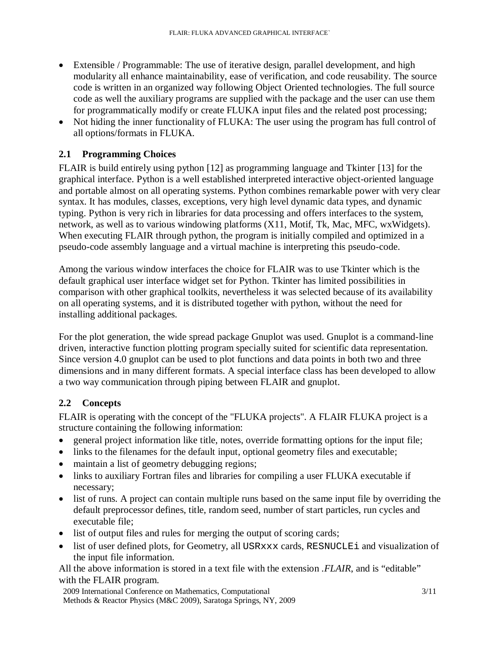- Extensible / Programmable: The use of iterative design, parallel development, and high modularity all enhance maintainability, ease of verification, and code reusability. The source code is written in an organized way following Object Oriented technologies. The full source code as well the auxiliary programs are supplied with the package and the user can use them for programmatically modify or create FLUKA input files and the related post processing;
- Not hiding the inner functionality of FLUKA: The user using the program has full control of all options/formats in FLUKA.

## **2.1 Programming Choices**

FLAIR is build entirely using python [12] as programming language and Tkinter [13] for the graphical interface. Python is a well established interpreted interactive object-oriented language and portable almost on all operating systems. Python combines remarkable power with very clear syntax. It has modules, classes, exceptions, very high level dynamic data types, and dynamic typing. Python is very rich in libraries for data processing and offers interfaces to the system, network, as well as to various windowing platforms (X11, Motif, Tk, Mac, MFC, wxWidgets). When executing FLAIR through python, the program is initially compiled and optimized in a pseudo-code assembly language and a virtual machine is interpreting this pseudo-code.

Among the various window interfaces the choice for FLAIR was to use Tkinter which is the default graphical user interface widget set for Python. Tkinter has limited possibilities in comparison with other graphical toolkits, nevertheless it was selected because of its availability on all operating systems, and it is distributed together with python, without the need for installing additional packages.

For the plot generation, the wide spread package Gnuplot was used. Gnuplot is a command-line driven, interactive function plotting program specially suited for scientific data representation. Since version 4.0 gnuplot can be used to plot functions and data points in both two and three dimensions and in many different formats. A special interface class has been developed to allow a two way communication through piping between FLAIR and gnuplot.

## **2.2 Concepts**

FLAIR is operating with the concept of the "FLUKA projects". A FLAIR FLUKA project is a structure containing the following information:

- general project information like title, notes, override formatting options for the input file;
- links to the filenames for the default input, optional geometry files and executable;
- maintain a list of geometry debugging regions;
- links to auxiliary Fortran files and libraries for compiling a user FLUKA executable if necessary;
- list of runs. A project can contain multiple runs based on the same input file by overriding the default preprocessor defines, title, random seed, number of start particles, run cycles and executable file;
- list of output files and rules for merging the output of scoring cards;
- list of user defined plots, for Geometry, all USRxxx cards, RESNUCLEi and visualization of the input file information.

All the above information is stored in a text file with the extension *.FLAIR*, and is "editable" with the FLAIR program.

2009 International Conference on Mathematics, Computational Methods & Reactor Physics (M&C 2009), Saratoga Springs, NY, 2009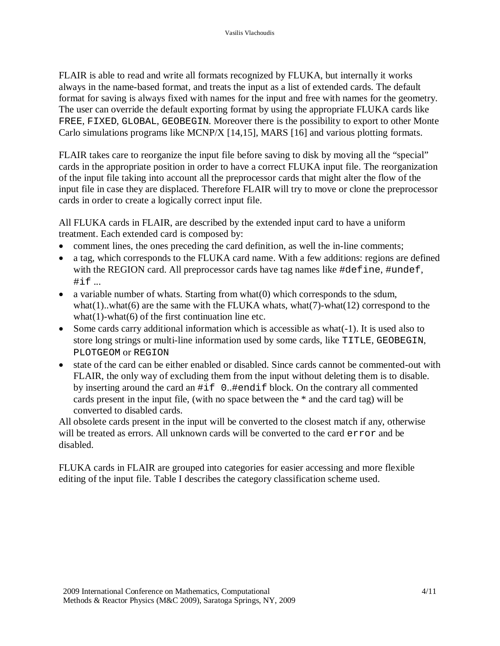FLAIR is able to read and write all formats recognized by FLUKA, but internally it works always in the name-based format, and treats the input as a list of extended cards. The default format for saving is always fixed with names for the input and free with names for the geometry. The user can override the default exporting format by using the appropriate FLUKA cards like FREE, FIXED, GLOBAL, GEOBEGIN. Moreover there is the possibility to export to other Monte Carlo simulations programs like MCNP/X [14,15], MARS [16] and various plotting formats.

FLAIR takes care to reorganize the input file before saving to disk by moving all the "special" cards in the appropriate position in order to have a correct FLUKA input file. The reorganization of the input file taking into account all the preprocessor cards that might alter the flow of the input file in case they are displaced. Therefore FLAIR will try to move or clone the preprocessor cards in order to create a logically correct input file.

All FLUKA cards in FLAIR, are described by the extended input card to have a uniform treatment. Each extended card is composed by:

- comment lines, the ones preceding the card definition, as well the in-line comments;
- a tag, which corresponds to the FLUKA card name. With a few additions: regions are defined with the REGION card. All preprocessor cards have tag names like #define, #undef, #if ...
- a variable number of whats. Starting from what(0) which corresponds to the sdum, what $(1)$ ..what $(6)$  are the same with the FLUKA whats, what $(7)$ -what $(12)$  correspond to the what $(1)$ -what $(6)$  of the first continuation line etc.
- Some cards carry additional information which is accessible as what(-1). It is used also to store long strings or multi-line information used by some cards, like TITLE, GEOBEGIN, PLOTGEOM or REGION
- state of the card can be either enabled or disabled. Since cards cannot be commented-out with FLAIR, the only way of excluding them from the input without deleting them is to disable. by inserting around the card an #if 0..#endif block. On the contrary all commented cards present in the input file, (with no space between the \* and the card tag) will be converted to disabled cards.

All obsolete cards present in the input will be converted to the closest match if any, otherwise will be treated as errors. All unknown cards will be converted to the card error and be disabled.

FLUKA cards in FLAIR are grouped into categories for easier accessing and more flexible editing of the input file. Table I describes the category classification scheme used.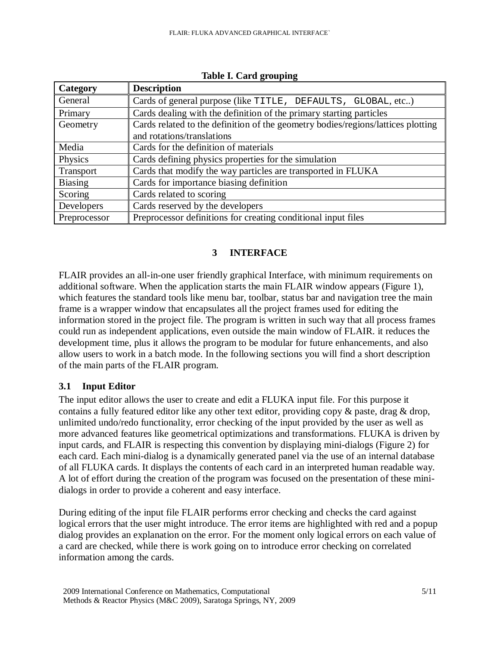| Category       | <b>Description</b>                                                               |  |  |  |
|----------------|----------------------------------------------------------------------------------|--|--|--|
| General        | Cards of general purpose (like TITLE, DEFAULTS, GLOBAL, etc)                     |  |  |  |
| Primary        | Cards dealing with the definition of the primary starting particles              |  |  |  |
| Geometry       | Cards related to the definition of the geometry bodies/regions/lattices plotting |  |  |  |
|                | and rotations/translations                                                       |  |  |  |
| Media          | Cards for the definition of materials                                            |  |  |  |
| Physics        | Cards defining physics properties for the simulation                             |  |  |  |
| Transport      | Cards that modify the way particles are transported in FLUKA                     |  |  |  |
| <b>Biasing</b> | Cards for importance biasing definition                                          |  |  |  |
| Scoring        | Cards related to scoring                                                         |  |  |  |
| Developers     | Cards reserved by the developers                                                 |  |  |  |
| Preprocessor   | Preprocessor definitions for creating conditional input files                    |  |  |  |

**Table I. Card grouping**

## **3 INTERFACE**

FLAIR provides an all-in-one user friendly graphical Interface, with minimum requirements on additional software. When the application starts the main FLAIR window appears (Figure 1), which features the standard tools like menu bar, toolbar, status bar and navigation tree the main frame is a wrapper window that encapsulates all the project frames used for editing the information stored in the project file. The program is written in such way that all process frames could run as independent applications, even outside the main window of FLAIR. it reduces the development time, plus it allows the program to be modular for future enhancements, and also allow users to work in a batch mode. In the following sections you will find a short description of the main parts of the FLAIR program.

## **3.1 Input Editor**

The input editor allows the user to create and edit a FLUKA input file. For this purpose it contains a fully featured editor like any other text editor, providing copy & paste, drag & drop, unlimited undo/redo functionality, error checking of the input provided by the user as well as more advanced features like geometrical optimizations and transformations. FLUKA is driven by input cards, and FLAIR is respecting this convention by displaying mini-dialogs (Figure 2) for each card. Each mini-dialog is a dynamically generated panel via the use of an internal database of all FLUKA cards. It displays the contents of each card in an interpreted human readable way. A lot of effort during the creation of the program was focused on the presentation of these minidialogs in order to provide a coherent and easy interface.

During editing of the input file FLAIR performs error checking and checks the card against logical errors that the user might introduce. The error items are highlighted with red and a popup dialog provides an explanation on the error. For the moment only logical errors on each value of a card are checked, while there is work going on to introduce error checking on correlated information among the cards.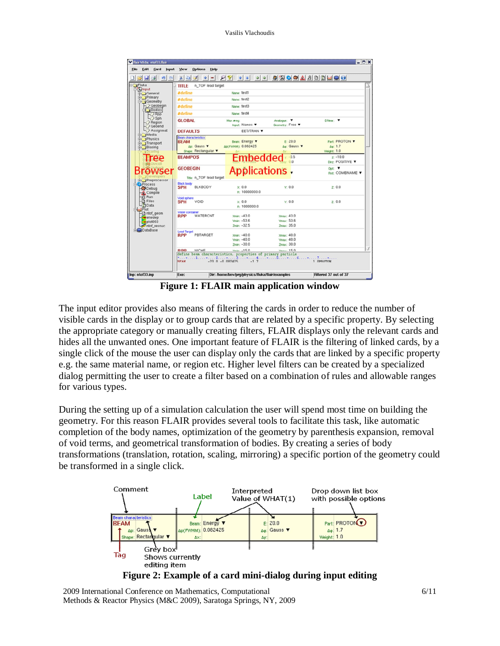Vasilis Vlachoudis

|                                   | <u> Distribuția din Sala din Sala din 1999 și profesorul și profesorul și profesorul și profesorul și profesorul </u> |                                          |                              |                                  |
|-----------------------------------|-----------------------------------------------------------------------------------------------------------------------|------------------------------------------|------------------------------|----------------------------------|
| <b>NFluka</b>                     | n_TOF lead target<br>TITLE                                                                                            |                                          |                              |                                  |
| <b>Change</b><br>General          | <b>#define</b>                                                                                                        | Name: test1                              |                              |                                  |
| Primary<br>Geometry               | <b>#define</b>                                                                                                        | Name: test2                              |                              |                                  |
| $\rightarrow$ Geobegin            | <b>#define</b>                                                                                                        | Name: test3                              |                              |                                  |
| Bodies<br>$\rightarrow$ Rpp       | <b>#define</b>                                                                                                        | Name: test4                              |                              |                                  |
| $\bigtriangleup$ Sph              | <b>GLOBAL</b>                                                                                                         | Max <i>e</i> reg:                        | Analogue:                    | DNear: T                         |
| $\rightarrow$ Region<br>Geoend    |                                                                                                                       | hout: Names                              | Geometry: Free               |                                  |
| Assignmat                         | <b>DEFAULTS</b>                                                                                                       | EET/TRAN V                               |                              |                                  |
| <b>EX</b> Media<br><b>Physics</b> | Beam characteristics                                                                                                  |                                          |                              |                                  |
| Transport                         | <b>BEAM</b><br>An: Gauss <b>v</b>                                                                                     | Beam: Energy<br><b>ADCEWHMX 0.082425</b> | F: 20.0<br>De: Gauss ▼       | <b>Part: PROTON V</b><br>0a: 1.7 |
| <b>Blasing</b>                    | Shape: Rectangular                                                                                                    |                                          |                              | Weight: 1.0                      |
| Tree                              | <b>BEAMPOS</b>                                                                                                        | <b>Embedded</b>                          |                              | $2: -10.0$                       |
|                                   |                                                                                                                       |                                          |                              | Dirz: POSITIVE V                 |
| Browser                           | <b>GEOBEGIN</b><br>Title: n_TOF lead target                                                                           | <b>Applications</b>                      |                              | Opt: V<br>Fmt: COMBNAME V        |
| <b>Preprocessor</b>               | <b>Black body</b>                                                                                                     |                                          |                              |                                  |
| <b>Process</b><br>Debug           | <b>BLKBODY</b><br><b>SPH</b>                                                                                          | X: 0.0                                   | Y: 0.0                       | Z: 0.0                           |
| <b>A</b> Compile<br>Run           |                                                                                                                       | R: 10000000.0                            |                              |                                  |
| Files                             | <b>Void sphere</b><br><b>SPH</b><br>VOID                                                                              | x: 0.0                                   | Y: 0.0                       | 2:0.0                            |
| <b>Data</b><br>4Piot              |                                                                                                                       | B: 1000000.0                             |                              |                                  |
| ntof_geom                         | Water container<br><b>WATERCNT</b><br><b>RPP</b>                                                                      | $Ymin - 43.0$                            | <b>Ymay: 43.0</b>            |                                  |
| enedep<br>plot003                 |                                                                                                                       | $Vmin: -53.6$                            | <b>Vmay: 53.6</b>            |                                  |
| ntof resnuc                       |                                                                                                                       | $2min: -32.5$                            | Zmax: 35.0                   |                                  |
| <b>DataBase</b>                   | <b>Lead Target</b><br><b>RPP</b><br>PBTARGET                                                                          | $Xmin: -40.0$                            | Xmax: 40.0                   |                                  |
|                                   |                                                                                                                       | $Vmin: -40.0$                            | Vmax: 40.0                   |                                  |
|                                   |                                                                                                                       | $Zmin: -30.0$                            | Zmax: 30.0                   |                                  |
|                                   | <b>NICHE</b><br><b>DDD</b>                                                                                            | $V_{\text{m}}$ $\sim$ 15 0               | $V_{\text{max}}$ 15 $\theta$ |                                  |
|                                   | define beam characteristics, properties of primary particle<br><b>BEAM</b>                                            | $-20.0 - 0.082425$<br>$-1.7$             |                              | 1.0PROTON                        |

**Figure 1: FLAIR main application window**

The input editor provides also means of filtering the cards in order to reduce the number of visible cards in the display or to group cards that are related by a specific property. By selecting the appropriate category or manually creating filters, FLAIR displays only the relevant cards and hides all the unwanted ones. One important feature of FLAIR is the filtering of linked cards, by a single click of the mouse the user can display only the cards that are linked by a specific property e.g. the same material name, or region etc. Higher level filters can be created by a specialized dialog permitting the user to create a filter based on a combination of rules and allowable ranges for various types.

During the setting up of a simulation calculation the user will spend most time on building the geometry. For this reason FLAIR provides several tools to facilitate this task, like automatic completion of the body names, optimization of the geometry by parenthesis expansion, removal of void terms, and geometrical transformation of bodies. By creating a series of body transformations (translation, rotation, scaling, mirroring) a specific portion of the geometry could be transformed in a single click.



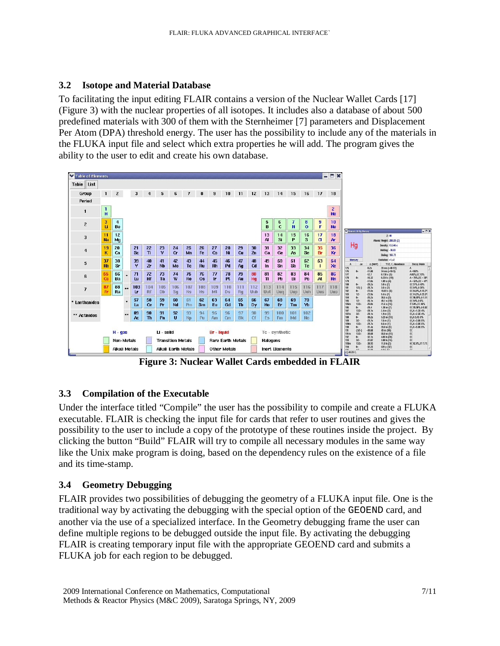## **3.2 Isotope and Material Database**

To facilitating the input editing FLAIR contains a version of the Nuclear Wallet Cards [17] (Figure 3) with the nuclear properties of all isotopes. It includes also a database of about 500 predefined materials with 300 of them with the Sternheimer [7] parameters and Displacement Per Atom (DPA) threshold energy. The user has the possibility to include any of the materials in the FLUKA input file and select which extra properties he will add. The program gives the ability to the user to edit and create his own database.



**Figure 3: Nuclear Wallet Cards embedded in FLAIR**

## **3.3 Compilation of the Executable**

Under the interface titled "Compile" the user has the possibility to compile and create a FLUKA executable. FLAIR is checking the input file for cards that refer to user routines and gives the possibility to the user to include a copy of the prototype of these routines inside the project. By clicking the button "Build" FLAIR will try to compile all necessary modules in the same way like the Unix make program is doing, based on the dependency rules on the existence of a file and its time-stamp.

## **3.4 Geometry Debugging**

FLAIR provides two possibilities of debugging the geometry of a FLUKA input file. One is the traditional way by activating the debugging with the special option of the GEOEND card, and another via the use of a specialized interface. In the Geometry debugging frame the user can define multiple regions to be debugged outside the input file. By activating the debugging FLAIR is creating temporary input file with the appropriate GEOEND card and submits a FLUKA job for each region to be debugged.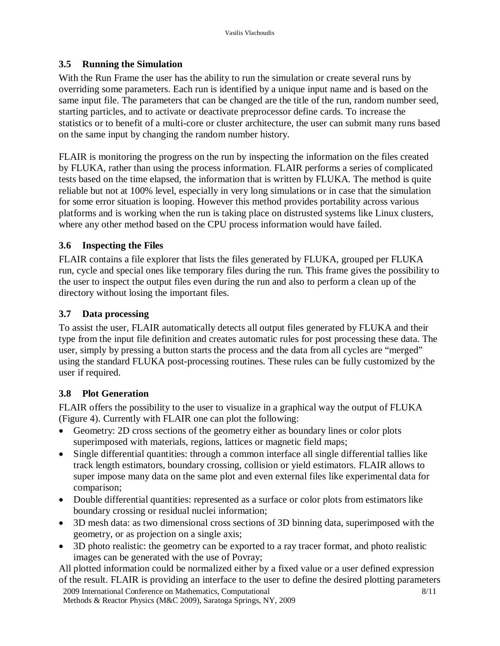### **3.5 Running the Simulation**

With the Run Frame the user has the ability to run the simulation or create several runs by overriding some parameters. Each run is identified by a unique input name and is based on the same input file. The parameters that can be changed are the title of the run, random number seed, starting particles, and to activate or deactivate preprocessor define cards. To increase the statistics or to benefit of a multi-core or cluster architecture, the user can submit many runs based on the same input by changing the random number history.

FLAIR is monitoring the progress on the run by inspecting the information on the files created by FLUKA, rather than using the process information. FLAIR performs a series of complicated tests based on the time elapsed, the information that is written by FLUKA. The method is quite reliable but not at 100% level, especially in very long simulations or in case that the simulation for some error situation is looping. However this method provides portability across various platforms and is working when the run is taking place on distrusted systems like Linux clusters, where any other method based on the CPU process information would have failed.

### **3.6 Inspecting the Files**

FLAIR contains a file explorer that lists the files generated by FLUKA, grouped per FLUKA run, cycle and special ones like temporary files during the run. This frame gives the possibility to the user to inspect the output files even during the run and also to perform a clean up of the directory without losing the important files.

### **3.7 Data processing**

To assist the user, FLAIR automatically detects all output files generated by FLUKA and their type from the input file definition and creates automatic rules for post processing these data. The user, simply by pressing a button starts the process and the data from all cycles are "merged" using the standard FLUKA post-processing routines. These rules can be fully customized by the user if required.

### **3.8 Plot Generation**

FLAIR offers the possibility to the user to visualize in a graphical way the output of FLUKA (Figure 4). Currently with FLAIR one can plot the following:

- Geometry: 2D cross sections of the geometry either as boundary lines or color plots superimposed with materials, regions, lattices or magnetic field maps;
- Single differential quantities: through a common interface all single differential tallies like track length estimators, boundary crossing, collision or yield estimators. FLAIR allows to super impose many data on the same plot and even external files like experimental data for comparison;
- Double differential quantities: represented as a surface or color plots from estimators like boundary crossing or residual nuclei information;
- 3D mesh data: as two dimensional cross sections of 3D binning data, superimposed with the geometry, or as projection on a single axis;
- 3D photo realistic: the geometry can be exported to a ray tracer format, and photo realistic images can be generated with the use of Povray;

2009 International Conference on Mathematics, Computational All plotted information could be normalized either by a fixed value or a user defined expression of the result. FLAIR is providing an interface to the user to define the desired plotting parameters

Methods & Reactor Physics (M&C 2009), Saratoga Springs, NY, 2009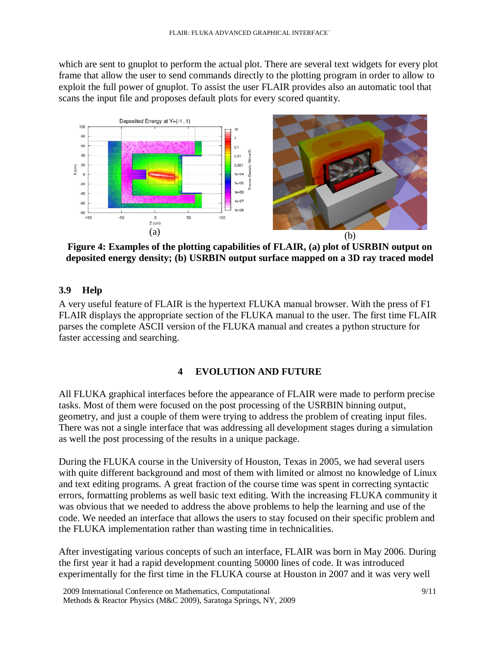which are sent to gnuplot to perform the actual plot. There are several text widgets for every plot frame that allow the user to send commands directly to the plotting program in order to allow to exploit the full power of gnuplot. To assist the user FLAIR provides also an automatic tool that scans the input file and proposes default plots for every scored quantity.



**Figure 4: Examples of the plotting capabilities of FLAIR, (a) plot of USRBIN output on deposited energy density; (b) USRBIN output surface mapped on a 3D ray traced model**

## **3.9 Help**

A very useful feature of FLAIR is the hypertext FLUKA manual browser. With the press of F1 FLAIR displays the appropriate section of the FLUKA manual to the user. The first time FLAIR parses the complete ASCII version of the FLUKA manual and creates a python structure for faster accessing and searching.

### **4 EVOLUTION AND FUTURE**

All FLUKA graphical interfaces before the appearance of FLAIR were made to perform precise tasks. Most of them were focused on the post processing of the USRBIN binning output, geometry, and just a couple of them were trying to address the problem of creating input files. There was not a single interface that was addressing all development stages during a simulation as well the post processing of the results in a unique package.

During the FLUKA course in the University of Houston, Texas in 2005, we had several users with quite different background and most of them with limited or almost no knowledge of Linux and text editing programs. A great fraction of the course time was spent in correcting syntactic errors, formatting problems as well basic text editing. With the increasing FLUKA community it was obvious that we needed to address the above problems to help the learning and use of the code. We needed an interface that allows the users to stay focused on their specific problem and the FLUKA implementation rather than wasting time in technicalities.

After investigating various concepts of such an interface, FLAIR was born in May 2006. During the first year it had a rapid development counting 50000 lines of code. It was introduced experimentally for the first time in the FLUKA course at Houston in 2007 and it was very well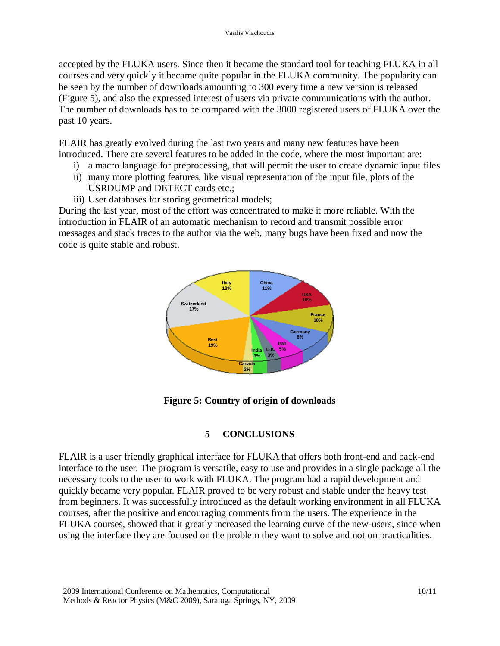accepted by the FLUKA users. Since then it became the standard tool for teaching FLUKA in all courses and very quickly it became quite popular in the FLUKA community. The popularity can be seen by the number of downloads amounting to 300 every time a new version is released (Figure 5), and also the expressed interest of users via private communications with the author. The number of downloads has to be compared with the 3000 registered users of FLUKA over the past 10 years.

FLAIR has greatly evolved during the last two years and many new features have been introduced. There are several features to be added in the code, where the most important are:

- i) a macro language for preprocessing, that will permit the user to create dynamic input files
- ii) many more plotting features, like visual representation of the input file, plots of the USRDUMP and DETECT cards etc.;
- iii) User databases for storing geometrical models;

During the last year, most of the effort was concentrated to make it more reliable. With the introduction in FLAIR of an automatic mechanism to record and transmit possible error messages and stack traces to the author via the web, many bugs have been fixed and now the code is quite stable and robust.



**Figure 5: Country of origin of downloads**

### **5 CONCLUSIONS**

FLAIR is a user friendly graphical interface for FLUKA that offers both front-end and back-end interface to the user. The program is versatile, easy to use and provides in a single package all the necessary tools to the user to work with FLUKA. The program had a rapid development and quickly became very popular. FLAIR proved to be very robust and stable under the heavy test from beginners. It was successfully introduced as the default working environment in all FLUKA courses, after the positive and encouraging comments from the users. The experience in the FLUKA courses, showed that it greatly increased the learning curve of the new-users, since when using the interface they are focused on the problem they want to solve and not on practicalities.